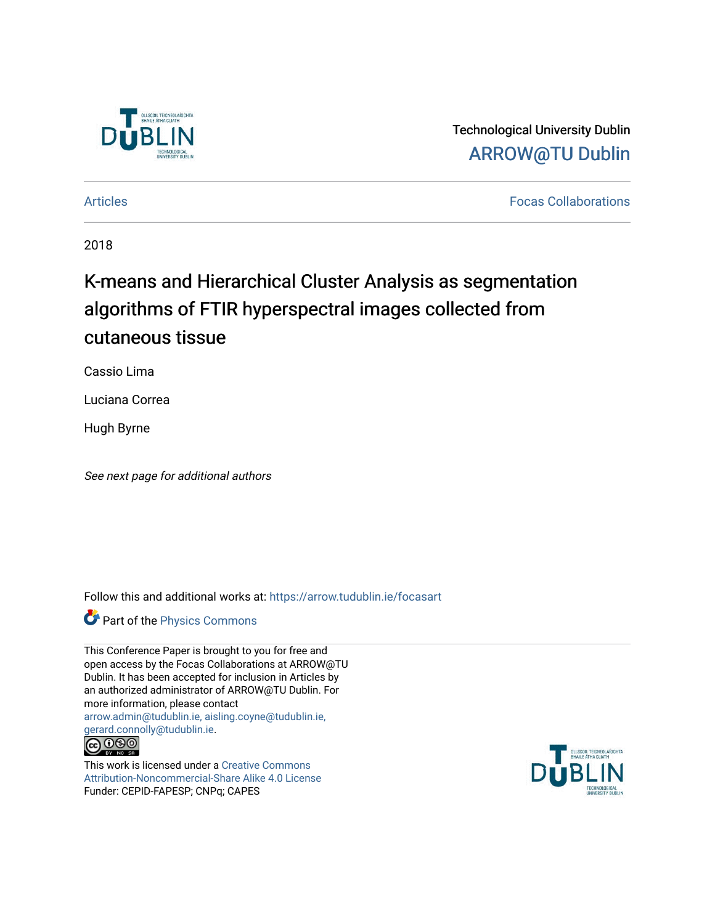

Technological University Dublin [ARROW@TU Dublin](https://arrow.tudublin.ie/) 

[Articles](https://arrow.tudublin.ie/focasart) [Focas Collaborations](https://arrow.tudublin.ie/focas) 

2018

## K-means and Hierarchical Cluster Analysis as segmentation algorithms of FTIR hyperspectral images collected from cutaneous tissue

Cassio Lima

Luciana Correa

Hugh Byrne

See next page for additional authors

Follow this and additional works at: [https://arrow.tudublin.ie/focasart](https://arrow.tudublin.ie/focasart?utm_source=arrow.tudublin.ie%2Ffocasart%2F2&utm_medium=PDF&utm_campaign=PDFCoverPages)

Part of the [Physics Commons](http://network.bepress.com/hgg/discipline/193?utm_source=arrow.tudublin.ie%2Ffocasart%2F2&utm_medium=PDF&utm_campaign=PDFCoverPages)

This Conference Paper is brought to you for free and open access by the Focas Collaborations at ARROW@TU Dublin. It has been accepted for inclusion in Articles by an authorized administrator of ARROW@TU Dublin. For more information, please contact [arrow.admin@tudublin.ie, aisling.coyne@tudublin.ie,](mailto:arrow.admin@tudublin.ie,%20aisling.coyne@tudublin.ie,%20gerard.connolly@tudublin.ie)  [gerard.connolly@tudublin.ie](mailto:arrow.admin@tudublin.ie,%20aisling.coyne@tudublin.ie,%20gerard.connolly@tudublin.ie).<br>@090

This work is licensed under a [Creative Commons](http://creativecommons.org/licenses/by-nc-sa/4.0/) [Attribution-Noncommercial-Share Alike 4.0 License](http://creativecommons.org/licenses/by-nc-sa/4.0/) Funder: CEPID-FAPESP; CNPq; CAPES

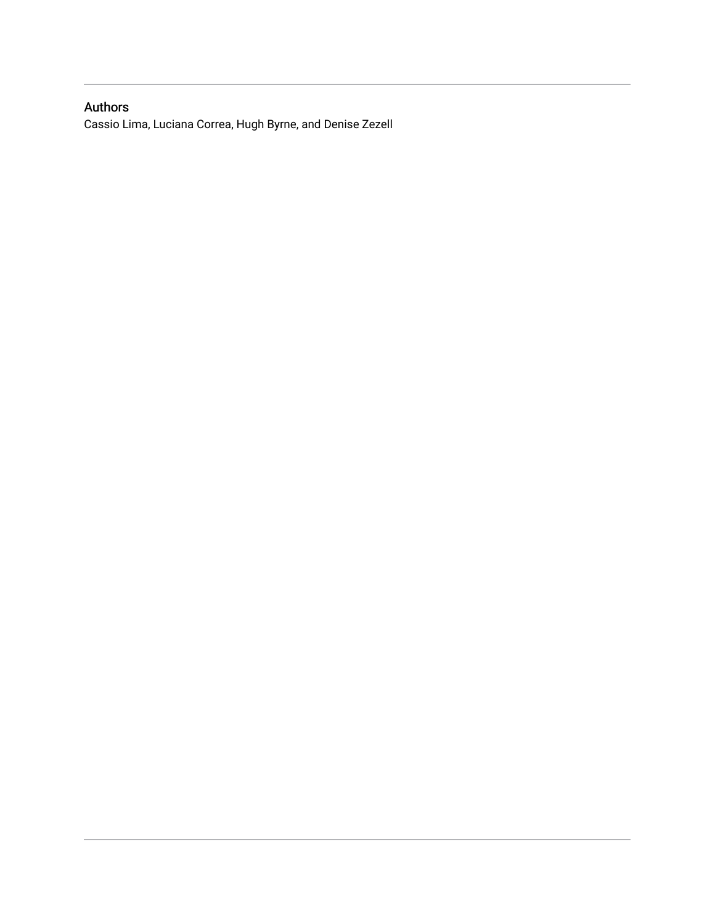### Authors

Cassio Lima, Luciana Correa, Hugh Byrne, and Denise Zezell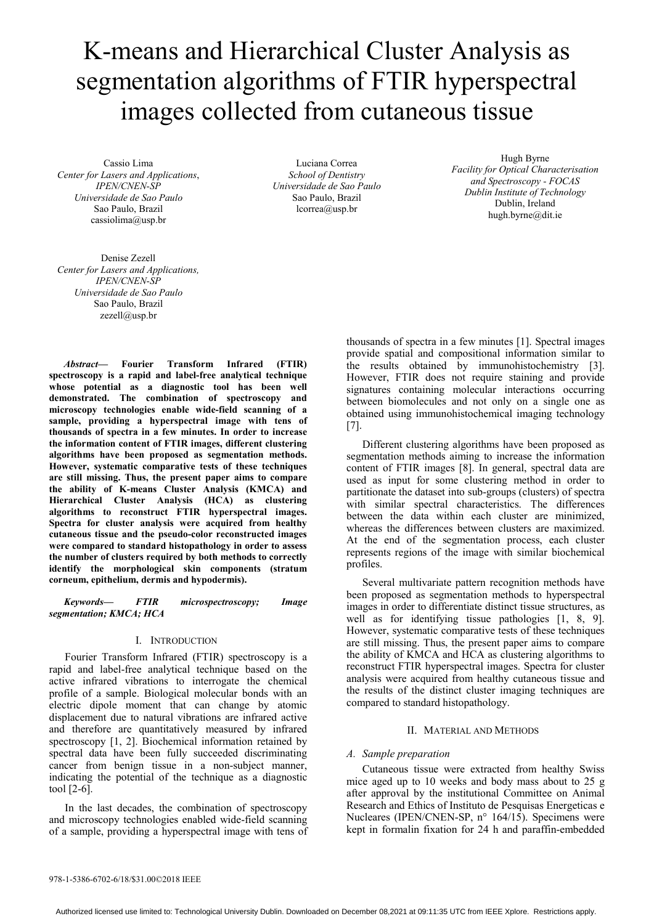# K-means and Hierarchical Cluster Analysis as segmentation algorithms of FTIR hyperspectral images collected from cutaneous tissue

Cassio Lima *Center for Lasers and Applications*, *IPEN/CNEN-SP Universidade de Sao Paulo*  Sao Paulo, Brazil cassiolima@usp.br

Luciana Correa *School of Dentistry Universidade de Sao Paulo*  Sao Paulo, Brazil lcorrea@usp.br

Hugh Byrne *Facility for Optical Characterisation and Spectroscopy - FOCAS Dublin Institute of Technology*  Dublin, Ireland hugh.byrne@dit.ie

Denise Zezell *Center for Lasers and Applications, IPEN/CNEN-SP Universidade de Sao Paulo*  Sao Paulo, Brazil zezell@usp.br

*Abstract***— Fourier Transform Infrared (FTIR) spectroscopy is a rapid and label-free analytical technique whose potential as a diagnostic tool has been well demonstrated. The combination of spectroscopy and microscopy technologies enable wide-field scanning of a sample, providing a hyperspectral image with tens of thousands of spectra in a few minutes. In order to increase the information content of FTIR images, different clustering algorithms have been proposed as segmentation methods. However, systematic comparative tests of these techniques are still missing. Thus, the present paper aims to compare the ability of K-means Cluster Analysis (KMCA) and Hierarchical Cluster Analysis (HCA) as clustering algorithms to reconstruct FTIR hyperspectral images. Spectra for cluster analysis were acquired from healthy cutaneous tissue and the pseudo-color reconstructed images were compared to standard histopathology in order to assess the number of clusters required by both methods to correctly identify the morphological skin components (stratum corneum, epithelium, dermis and hypodermis).**

*Keywords— FTIR microspectroscopy; Image segmentation; KMCA; HCA* 

#### I. INTRODUCTION

Fourier Transform Infrared (FTIR) spectroscopy is a rapid and label-free analytical technique based on the active infrared vibrations to interrogate the chemical profile of a sample. Biological molecular bonds with an electric dipole moment that can change by atomic displacement due to natural vibrations are infrared active and therefore are quantitatively measured by infrared spectroscopy [1, 2]. Biochemical information retained by spectral data have been fully succeeded discriminating cancer from benign tissue in a non-subject manner, indicating the potential of the technique as a diagnostic tool [2-6].

In the last decades, the combination of spectroscopy and microscopy technologies enabled wide-field scanning of a sample, providing a hyperspectral image with tens of

thousands of spectra in a few minutes [1]. Spectral images provide spatial and compositional information similar to the results obtained by immunohistochemistry [3]. However, FTIR does not require staining and provide signatures containing molecular interactions occurring between biomolecules and not only on a single one as obtained using immunohistochemical imaging technology [7].

Different clustering algorithms have been proposed as segmentation methods aiming to increase the information content of FTIR images [8]. In general, spectral data are used as input for some clustering method in order to partitionate the dataset into sub-groups (clusters) of spectra with similar spectral characteristics. The differences between the data within each cluster are minimized, whereas the differences between clusters are maximized. At the end of the segmentation process, each cluster represents regions of the image with similar biochemical profiles.

Several multivariate pattern recognition methods have been proposed as segmentation methods to hyperspectral images in order to differentiate distinct tissue structures, as well as for identifying tissue pathologies [1, 8, 9]. However, systematic comparative tests of these techniques are still missing. Thus, the present paper aims to compare the ability of KMCA and HCA as clustering algorithms to reconstruct FTIR hyperspectral images. Spectra for cluster analysis were acquired from healthy cutaneous tissue and the results of the distinct cluster imaging techniques are compared to standard histopathology.

#### II. MATERIAL AND METHODS

#### *A. Sample preparation*

Cutaneous tissue were extracted from healthy Swiss mice aged up to 10 weeks and body mass about to 25 g after approval by the institutional Committee on Animal Research and Ethics of Instituto de Pesquisas Energeticas e Nucleares (IPEN/CNEN-SP, n° 164/15). Specimens were kept in formalin fixation for 24 h and paraffin-embedded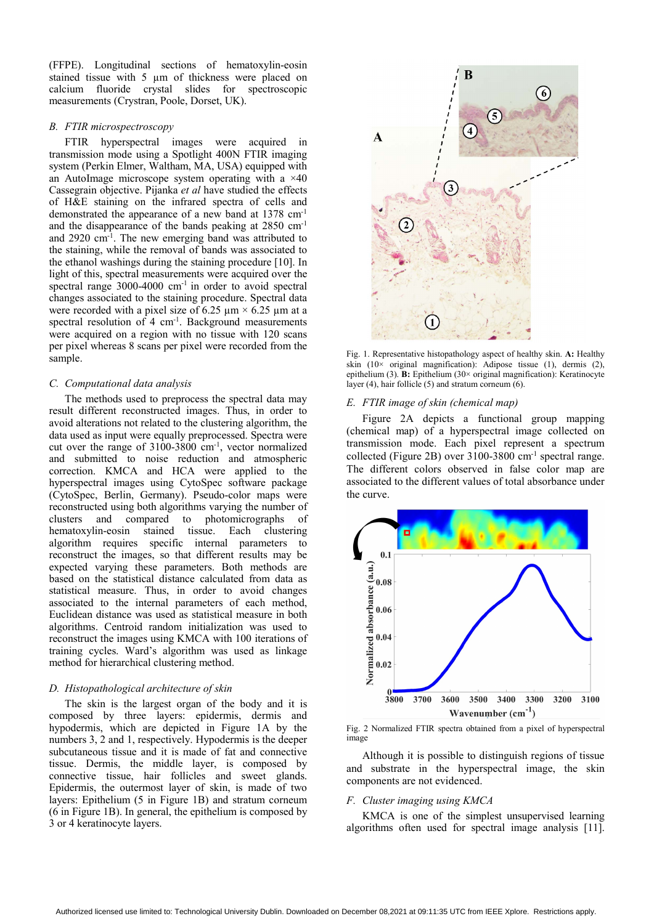(FFPE). Longitudinal sections of hematoxylin-eosin stained tissue with 5 µm of thickness were placed on calcium fluoride crystal slides for spectroscopic measurements (Crystran, Poole, Dorset, UK).

#### *B. FTIR microspectroscopy*

FTIR hyperspectral images were acquired in transmission mode using a Spotlight 400N FTIR imaging system (Perkin Elmer, Waltham, MA, USA) equipped with an AutoImage microscope system operating with a  $\times$ 40 Cassegrain objective. Pijanka *et al* have studied the effects of H&E staining on the infrared spectra of cells and demonstrated the appearance of a new band at 1378 cm-1 and the disappearance of the bands peaking at 2850 cm-1 and 2920 cm-1. The new emerging band was attributed to the staining, while the removal of bands was associated to the ethanol washings during the staining procedure [10]. In light of this, spectral measurements were acquired over the spectral range  $3000-4000$  cm<sup>-1</sup> in order to avoid spectral changes associated to the staining procedure. Spectral data were recorded with a pixel size of 6.25  $\mu$ m  $\times$  6.25  $\mu$ m at a spectral resolution of  $4 \text{ cm}^{-1}$ . Background measurements were acquired on a region with no tissue with 120 scans per pixel whereas 8 scans per pixel were recorded from the sample.

#### *C. Computational data analysis*

The methods used to preprocess the spectral data may result different reconstructed images. Thus, in order to avoid alterations not related to the clustering algorithm, the data used as input were equally preprocessed. Spectra were cut over the range of 3100-3800 cm-1, vector normalized and submitted to noise reduction and atmospheric correction. KMCA and HCA were applied to the hyperspectral images using CytoSpec software package (CytoSpec, Berlin, Germany). Pseudo-color maps were reconstructed using both algorithms varying the number of clusters and compared to photomicrographs of hematoxylin-eosin stained tissue. Each clustering algorithm requires specific internal parameters to reconstruct the images, so that different results may be expected varying these parameters. Both methods are based on the statistical distance calculated from data as statistical measure. Thus, in order to avoid changes associated to the internal parameters of each method, Euclidean distance was used as statistical measure in both algorithms. Centroid random initialization was used to reconstruct the images using KMCA with 100 iterations of training cycles. Ward's algorithm was used as linkage method for hierarchical clustering method.

#### *D. Histopathological architecture of skin*

The skin is the largest organ of the body and it is composed by three layers: epidermis, dermis and hypodermis, which are depicted in Figure 1A by the numbers 3, 2 and 1, respectively. Hypodermis is the deeper subcutaneous tissue and it is made of fat and connective tissue. Dermis, the middle layer, is composed by connective tissue, hair follicles and sweet glands. Epidermis, the outermost layer of skin, is made of two layers: Epithelium (5 in Figure 1B) and stratum corneum (6 in Figure 1B). In general, the epithelium is composed by 3 or 4 keratinocyte layers.



Fig. 1. Representative histopathology aspect of healthy skin. **A:** Healthy skin  $(10 \times$  original magnification): Adipose tissue  $(1)$ , dermis  $(2)$ , epithelium (3). **B:** Epithelium (30× original magnification): Keratinocyte layer (4), hair follicle (5) and stratum corneum (6).

### *E. FTIR image of skin (chemical map)*

Figure 2A depicts a functional group mapping (chemical map) of a hyperspectral image collected on transmission mode. Each pixel represent a spectrum collected (Figure 2B) over 3100-3800 cm-1 spectral range. The different colors observed in false color map are associated to the different values of total absorbance under the curve.



Fig. 2 Normalized FTIR spectra obtained from a pixel of hyperspectral image

Although it is possible to distinguish regions of tissue and substrate in the hyperspectral image, the skin components are not evidenced.

#### *F. Cluster imaging using KMCA*

KMCA is one of the simplest unsupervised learning algorithms often used for spectral image analysis [11].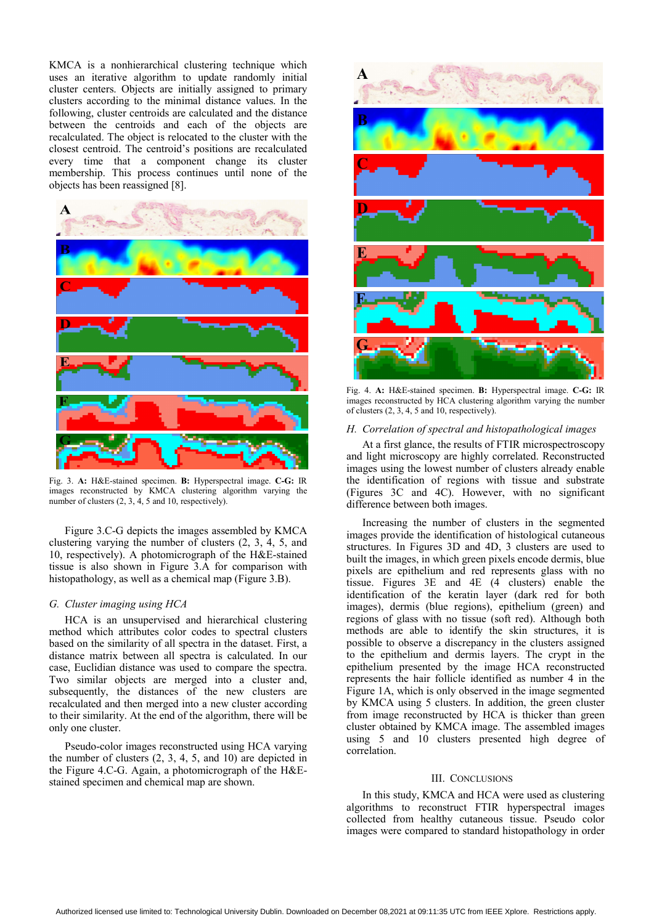KMCA is a nonhierarchical clustering technique which uses an iterative algorithm to update randomly initial cluster centers. Objects are initially assigned to primary clusters according to the minimal distance values. In the following, cluster centroids are calculated and the distance between the centroids and each of the objects are recalculated. The object is relocated to the cluster with the closest centroid. The centroid's positions are recalculated every time that a component change its cluster membership. This process continues until none of the objects has been reassigned [8].



Fig. 3. **A:** H&E-stained specimen. **B:** Hyperspectral image. **C-G:** IR images reconstructed by KMCA clustering algorithm varying the number of clusters  $(2, 3, 4, 5, 10)$  and 10, respectively).

Figure 3.C-G depicts the images assembled by KMCA clustering varying the number of clusters (2, 3, 4, 5, and 10, respectively). A photomicrograph of the H&E-stained tissue is also shown in Figure 3.A for comparison with histopathology, as well as a chemical map (Figure 3.B).

#### *G. Cluster imaging using HCA*

HCA is an unsupervised and hierarchical clustering method which attributes color codes to spectral clusters based on the similarity of all spectra in the dataset. First, a distance matrix between all spectra is calculated. In our case, Euclidian distance was used to compare the spectra. Two similar objects are merged into a cluster and, subsequently, the distances of the new clusters are recalculated and then merged into a new cluster according to their similarity. At the end of the algorithm, there will be only one cluster.

Pseudo-color images reconstructed using HCA varying the number of clusters (2, 3, 4, 5, and 10) are depicted in the Figure 4.C-G. Again, a photomicrograph of the H&Estained specimen and chemical map are shown.



Fig. 4. **A:** H&E-stained specimen. **B:** Hyperspectral image. **C-G:** IR images reconstructed by HCA clustering algorithm varying the number of clusters (2, 3, 4, 5 and 10, respectively).

#### *H. Correlation of spectral and histopathological images*

At a first glance, the results of FTIR microspectroscopy and light microscopy are highly correlated. Reconstructed images using the lowest number of clusters already enable the identification of regions with tissue and substrate (Figures 3C and 4C). However, with no significant difference between both images.

Increasing the number of clusters in the segmented images provide the identification of histological cutaneous structures. In Figures 3D and 4D, 3 clusters are used to built the images, in which green pixels encode dermis, blue pixels are epithelium and red represents glass with no tissue. Figures 3E and 4E (4 clusters) enable the identification of the keratin layer (dark red for both images), dermis (blue regions), epithelium (green) and regions of glass with no tissue (soft red). Although both methods are able to identify the skin structures, it is possible to observe a discrepancy in the clusters assigned to the epithelium and dermis layers. The crypt in the epithelium presented by the image HCA reconstructed represents the hair follicle identified as number 4 in the Figure 1A, which is only observed in the image segmented by KMCA using 5 clusters. In addition, the green cluster from image reconstructed by HCA is thicker than green cluster obtained by KMCA image. The assembled images using 5 and 10 clusters presented high degree of correlation.

#### III. CONCLUSIONS

In this study, KMCA and HCA were used as clustering algorithms to reconstruct FTIR hyperspectral images collected from healthy cutaneous tissue. Pseudo color images were compared to standard histopathology in order